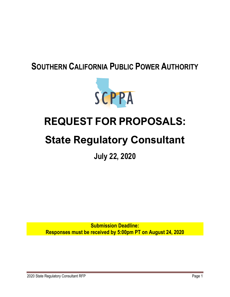# **SOUTHERN CALIFORNIA PUBLIC POWER AUTHORITY**



# **REQUEST FOR PROPOSALS:**

# **State Regulatory Consultant**

**July 22, 2020**

**Submission Deadline: Responses must be received by 5:00pm PT on August 24, 2020**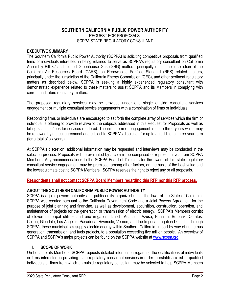### **SOUTHERN CALIFORNIA PUBLIC POWER AUTHORITY** REQUEST FOR PROPOSALS: SCPPA STATE REGULATORY CONSULANT

#### **EXECUTIVE SUMMARY**

The Southern California Public Power Authority (SCPPA) is soliciting competitive proposals from qualified firms or individuals interested in being retained to serve as SCPPA's regulatory consultant on California Assembly Bill 32 and related Greenhouse Gas (GHG) matters, principally under the jurisdiction of the California Air Resources Board (CARB), on Renewables Portfolio Standard (RPS) related matters, principally under the jurisdiction of the California Energy Commission (CEC), and other pertinent regulatory matters as described below. SCPPA is seeking a highly experienced regulatory consultant with demonstrated experience related to these matters to assist SCPPA and its Members in complying with current and future regulatory matters.

The proposed regulatory services may be provided under one single outside consultant services engagement **or** multiple consultant service engagements with a combination of firms or individuals.

Responding firms or individuals are encouraged to set forth the complete array of services which the firm or individual is offering to provide relative to the subjects addressed in this Request for Proposals as well as billing schedule/fees for services rendered. The initial term of engagement is up to three years which may be renewed by mutual agreement and subject to SCPPA's discretion for up to an additional three-year term (for a total of six years).

At SCPPA's discretion, additional information may be requested and interviews may be conducted in the selection process. Proposals will be evaluated by a committee comprised of representatives from SCPPA Members. Any recommendations to the SCPPA Board of Directors for the award of this state regulatory consultant service engagement may be premised, among other factors, on the basis of the best value and the lowest ultimate cost to SCPPA Members. SCPPA reserves the right to reject any or all proposals.

#### **Respondents shall not contact SCPPA Board Members regarding this RFP nor this RFP process.**

#### **ABOUT THE SOUTHERN CALIFORNIA PUBLIC POWER AUTHORITY**

SCPPA is a joint powers authority and public entity organized under the laws of the State of California. SCPPA was created pursuant to the California Government Code and a Joint Powers Agreement for the purpose of joint planning and financing, as well as development, acquisition, construction, operation, and maintenance of projects for the generation or transmission of electric energy. SCPPA's Members consist of eleven municipal utilities and one irrigation district—Anaheim, Azusa, Banning, Burbank, Cerritos, Colton, Glendale, Los Angeles, Pasadena, Riverside, Vernon, and the Imperial Irrigation District. Through SCPPA, these municipalities supply electric energy within Southern California, in part by way of numerous generation, transmission, and fuels projects, to a population exceeding five million people. An overview of SCPPA and SCPPA's major projects can be found on the SCPPA website at [www.scppa.org.](http://www.scppa.org/)

#### **I. SCOPE OF WORK**

On behalf of its Members, SCPPA requests detailed information regarding the qualifications of individuals or firms interested in providing state regulatory consultant services in order to establish a list of qualified individuals or firms from which an outside regulatory consultant may be selected to help SCPPA Members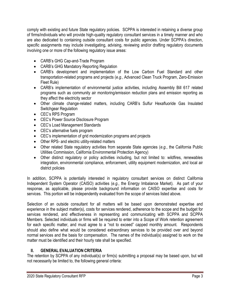comply with existing and future State regulatory policies. SCPPA is interested in retaining a diverse group of firms/individuals who will provide high-quality regulatory consultant services in a timely manner and who are also dedicated to containing outside consultant costs for public agencies. Under SCPPA's direction, specific assignments may include investigating, advising, reviewing and/or drafting regulatory documents involving one or more of the following regulatory issue areas:

- CARB's GHG Cap-and-Trade Program
- CARB's GHG Mandatory Reporting Regulation
- CARB's development and implementation of the Low Carbon Fuel Standard and other transportation-related programs and projects (*e.g.*, Advanced Clean Truck Program, Zero-Emission Fleet Rule)
- CARB's implementation of environmental justice activities, including Assembly Bill 617 related programs such as community air monitoring/emission reduction plans and emission reporting as they affect the electricity sector
- Other climate change-related matters, including CARB's Sulfur Hexafluoride Gas Insulated Switchgear Regulation
- CEC's RPS Program
- CEC's Power Source Disclosure Program
- CEC's Load Management Standards
- CEC's alternative fuels program
- CEC's implementation of grid modernization programs and projects
- Other RPS- and electric utility-related matters
- Other related State regulatory activities from separate State agencies (*e.g.*, the California Public Utilities Commission, California Environmental Protection Agency)
- Other distinct regulatory or policy activities including, but not limited to: wildfires, renewables integration, environmental compliance, enforcement, utility equipment modernization, and local air district policies

In addition, SCPPA is potentially interested in regulatory consultant services on distinct California Independent System Operator (CAISO) activities (*e.g.*, the Energy Imbalance Market). As part of your response, as applicable, please provide background information on CAISO expertise and costs for services. This portion will be independently evaluated from the scope of services listed above.

Selection of an outside consultant for all matters will be based upon demonstrated expertise and experience in the subject matter(s), costs for services rendered, adherence to the scope and the budget for services rendered, and effectiveness in representing and communicating with SCPPA and SCPPA Members. Selected individuals or firms will be required to enter into a Scope of Work retention agreement for each specific matter, and must agree to a "not to exceed" capped monthly amount. Respondents should also define what would be considered extraordinary services to be provided over and beyond normal services and the basis for compensation. The names of the individual(s) assigned to work on the matter must be identified and their hourly rate shall be specified.

# **II. GENERAL EVALUATION CRITERIA**

The retention by SCPPA of any individual(s) or firm(s) submitting a proposal may be based upon, but will not necessarily be limited to, the following general criteria: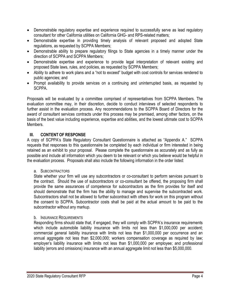- Demonstrable regulatory expertise and experience required to successfully serve as lead regulatory consultant for other California utilities on California GHG- and RPS-related matters;
- Demonstrable expertise in providing timely analysis of relevant proposed and adopted State regulations, as requested by SCPPA Members;
- Demonstrable ability to prepare regulatory filings to State agencies in a timely manner under the direction of SCPPA and SCPPA Members;
- Demonstrable expertise and experience to provide legal interpretation of relevant existing and proposed State laws, rules, and policies, as requested by SCPPA Members;
- Ability to adhere to work plans and a "not to exceed" budget with cost controls for services rendered to public agencies; and
- Prompt availability to provide services on a continuing and uninterrupted basis, as requested by SCPPA.

Proposals will be evaluated by a committee comprised of representatives from SCPPA Members. The evaluation committee may, in their discretion, decide to conduct interviews of selected respondents to further assist in the evaluation process. Any recommendations to the SCPPA Board of Directors for the award of consultant services contracts under this process may be premised, among other factors, on the basis of the best value including experience, expertise and abilities, and the lowest ultimate cost to SCPPA Members.

### **III. CONTENT OF RESPONSE**

A copy of SCPPA's State Regulatory Consultant Questionnaire is attached as "Appendix A." SCPPA requests that responses to this questionnaire be completed by each individual or firm interested in being retained as an exhibit to your proposal. Please complete the questionnaire as accurately and as fully as possible and include all information which you deem to be relevant or which you believe would be helpful in the evaluation process. Proposals shall also include the following information in the order listed:

#### a. SUBCONTRACTORS

State whether your firm will use any subcontractors or co-consultant to perform services pursuant to the contract. Should the use of subcontractors or co-consultant be offered, the proposing firm shall provide the same assurances of competence for subcontractors as the firm provides for itself and should demonstrate that the firm has the ability to manage and supervise the subcontracted work. Subcontractors shall not be allowed to further subcontract with others for work on this program without the consent to SCPPA. Subcontractor costs shall be paid at the actual amount to be paid to the subcontractor without any markup.

#### b. INSURANCE REQUIREMENTS

Responding firms should state that, if engaged, they will comply with SCPPA's insurance requirements which include automobile liability insurance with limits not less than \$1,000,000 per accident; commercial general liability insurance with limits not less than \$1,000,000 per occurrence and an annual aggregate not less than \$2,000,000; workers compensation coverage as required by law; employer's liability insurance with limits not less than \$1,000,000 per employee; and professional liability (errors and omissions) insurance with an annual aggregate limit not less than \$5,000,000.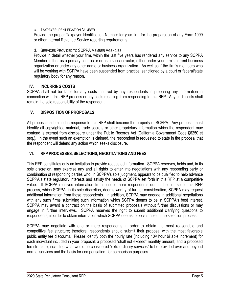#### c. TAXPAYER IDENTIFICATION NUMBER

Provide the proper Taxpayer Identification Number for your firm for the preparation of any Form 1099 or other Internal Revenue Service reporting requirements.

#### d. SERVICES PROVIDED TO SCPPA MEMBER AGENCIES

Provide in detail whether your firm, within the last five years has rendered any service to any SCPPA Member, either as a primary contractor or as a subcontractor, either under your firm's current business organization or under any other name or business organization. As well as if the firm's members who will be working with SCPPA have been suspended from practice, sanctioned by a court or federal/state regulatory body for any reason.

#### **IV. INCURRING COSTS**

SCPPA shall not be liable for any costs incurred by any respondents in preparing any information in connection with this RFP process or any costs resulting from responding to this RFP. Any such costs shall remain the sole responsibility of the respondent.

#### **V. DISPOSITION OF PROPOSALS**

All proposals submitted in response to this RFP shall become the property of SCPPA. Any proposal must identify all copyrighted material, trade secrets or other proprietary information which the respondent may contend is exempt from disclosure under the Public Records Act (California Government Code §6250 et seq.). In the event such an exemption is claimed, the respondent is requested to state in the proposal that the respondent will defend any action which seeks disclosure.

#### **VI. RFP PROCESSES, SELECTIONS, NEGOTIATIONS AND FEES**

This RFP constitutes only an invitation to provide requested information. SCPPA reserves, holds and, in its sole discretion, may exercise any and all rights to enter into negotiations with any responding party or combination of responding parties who, in SCPPA's sole judgment, appears to be qualified to help advance SCPPA's state regulatory interests and satisfy the needs of SCPPA set forth in this RFP at a competitive value. If SCPPA receives information from one of more respondents during the course of this RFP process, which SCPPA, in its sole discretion, deems worthy of further consideration, SCPPA may request additional information from those respondents. In addition, SCPPA may engage in additional negotiations with any such firms submitting such information which SCPPA deems to be in SCPPA's best interest. SCPPA may award a contract on the basis of submitted proposals without further discussions or may engage in further interviews. SCPPA reserves the right to submit additional clarifying questions to respondents, in order to obtain information which SCPPA deems to be valuable in the selection process.

SCPPA may negotiate with one or more respondents in order to obtain the most reasonable and competitive fee structure; therefore, respondents should submit their proposal with the most favorable public entity fee discounts. Please identify both the hourly rate (including 10<sup>th</sup> hour billable increment) for each individual included in your proposal; a proposed "shall not exceed" monthly amount; and a proposed fee structure, including what would be considered "extraordinary services" to be provided over and beyond normal services and the basis for compensation, for comparison purposes.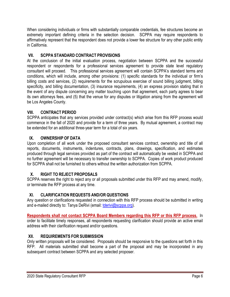When considering individuals or firms with substantially comparable credentials, fee structures become an extremely important defining criteria in the selection decision. SCPPA may require respondents to affirmatively represent that the respondent does not provide a lower fee structure for any other public entity in California.

# **VII. SCPPA STANDARD CONTRACT PROVISIONS**

At the conclusion of the initial evaluation process, negotiation between SCPPA and the successful respondent or respondents for a professional services agreement to provide state level regulatory consultant will proceed. This professional services agreement will contain SCPPA's standard terms and conditions, which will include, among other provisions: (1) specific standards for the individual or firm's billing costs and services, (2) requirements for the scrupulous exercise of sound billing judgment, billing specificity, and billing documentation, (3) insurance requirements, (4) an express provision stating that in the event of any dispute concerning any matter touching upon that agreement, each party agrees to bear its own attorneys fees, and (5) that the venue for any disputes or litigation arising from the agreement will be Los Angeles County.

# **VIII. CONTRACT PERIOD**

SCPPA anticipates that any services provided under contract(s) which arise from this RFP process would commence in the fall of 2020 and provide for a term of three years. By mutual agreement, a contract may be extended for an additional three-year term for a total of six years.

# **IX. OWNERSHIP OF DATA**

Upon completion of all work under the proposed consultant services contract, ownership and title of all reports, documents, instruments, indentures, contracts, plans, drawings, specification, and estimates produced through legal services provided as part of the contract will automatically be vested in SCPPA and no further agreement will be necessary to transfer ownership to SCPPA. Copies of work product produced for SCPPA shall not be furnished to others without the written authorization from SCPPA.

# **X. RIGHT TO REJECT PROPOSALS**

SCPPA reserves the right to reject any or all proposals submitted under this RFP and may amend, modify, or terminate the RFP process at any time.

# **XI. CLARIFICATION REQUESTS AND/OR QUESTIONS**

Any question or clarifications requested in connection with this RFP process should be submitted in writing and e-mailed directly to: Tanya DeRivi (email: [tderivi@scppa.org\)](mailto:tderivi@scppa.org).

**Respondents shall not contact SCPPA Board Members regarding this RFP or this RFP process.** In order to facilitate timely responses, all respondents requesting clarification should provide an active email address with their clarification request and/or questions.

# **XII. REQUIREMENTS FOR SUBMISSION**

Only written proposals will be considered. Proposals should be responsive to the questions set forth in this RFP. All materials submitted shall become a part of the proposal and may be incorporated in any subsequent contract between SCPPA and any selected proposer.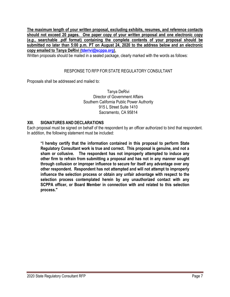**The maximum length of your written proposal, excluding exhibits, resumes, and reference contacts should not exceed 20 pages. One paper copy of your written proposal and one electronic copy (***e.g.***, searchable .pdf format) containing the complete contents of your proposal should be submitted no later than 5:00 p.m. PT on August 24, 2020 to the address below and an electronic copy emailed to Tanya DeRivi [\(tderivi@scppa.org\)](mailto:tderivi@scppa.org).**

Written proposals should be mailed in a sealed package, clearly marked with the words as follows:

#### RESPONSE TO RFP FOR STATE REGULATORY CONSULTANT

Proposals shall be addressed and mailed to:

Tanya DeRivi Director of Government Affairs Southern California Public Power Authority 915 L Street Suite 1410 Sacramento, CA 95814

#### **XIII. SIGNATURES AND DECLARATIONS**

Each proposal must be signed on behalf of the respondent by an officer authorized to bind that respondent. In addition, the following statement must be included:

**"I hereby certify that the information contained in this proposal to perform State Regulatory Consultant work is true and correct. This proposal is genuine, and not a sham or collusive. The respondent has not improperly attempted to induce any other firm to refrain from submitting a proposal and has not in any manner sought through collusion or improper influence to secure for itself any advantage over any other respondent. Respondent has not attempted and will not attempt to improperly influence the selection process or obtain any unfair advantage with respect to the selection process contemplated herein by any unauthorized contact with any SCPPA officer, or Board Member in connection with and related to this selection process."**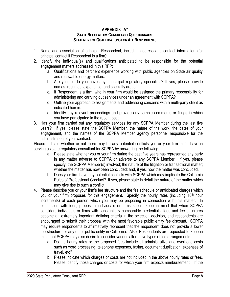#### **APPENDIX "A" STATE REGULATORYCONSULTANTQUESTIONNAIRE STATEMENT OF QUALIFICATIONS FOR ALL RESPONDENTS**

- 1. Name and association of principal Respondent, including address and contact information (for principal contact if Respondent is a firm):
- 2. Identify the individual(s) and qualifications anticipated to be responsible for the potential engagement matters addressed in this RFP:
	- a. Qualifications and pertinent experience working with public agencies on State air quality and renewable energy matters.
	- b. Are you, or do you have any, municipal regulatory specialists? If yes, please provide names, resumes, experience, and specialty areas.
	- c. If Respondent is a firm, who in your firm would be assigned the primary responsibility for administering and carrying out services under an agreement with SCPPA?
	- d. Outline your approach to assignments and addressing concerns with a multi-party client as indicated herein.
	- e. Identify any relevant proceedings and provide any sample comments or filings in which you have participated in the recent past.
- 3. Has your firm carried out any regulatory services for any SCPPA Member during the last five years? If yes, please state the SCPPA Member, the nature of the work, the dates of your engagement, and the names of the SCPPA Member agency personnel responsible for the administration of your contract.

Please indicate whether or not there may be any potential conflicts you or your firm might have in serving as state regulatory consultant for SCPPA by answering the following:

- a. Please state whether you or your firm during the past five years has represented any party in any matter adverse to SCPPA or adverse to any SCPPA Member. If yes, please specify: the SCPPA Member(s) involved; the nature of the litigation or transactional matter; whether the matter has now been concluded; and, if yes, how the matter was concluded.
- b. Does your firm have any potential conflicts with SCPPA which may implicate the California Rules of Professional Conduct? If yes, please state in detail the nature of the matter which may give rise to such a conflict.
- 4. Please describe you or your firm's fee structure and the fee schedule or anticipated charges which you or your firm proposes for this engagement. Specify the hourly rates (including 10<sup>th</sup> hour increments) of each person which you may be proposing in connection with this matter. In connection with fees, proposing individuals or firms should keep in mind that when SCPPA considers individuals or firms with substantially comparable credentials, fees and fee structures become an extremely important defining criteria in the selection decision, and respondents are encouraged to submit their proposal with the most favorable public entity fee discount. SCPPA may require respondents to affirmatively represent that the respondent does not provide a lower fee structure for any other public entity in California. Also, Respondents are requested to keep in mind that SCPPA may also desire to consider various alternative types of fee arrangements.
	- a. Do the hourly rates or the proposed fees include all administrative and overhead costs such as word processing, telephone expenses, faxing, document duplication, expenses of travel, etc?
	- b. Please indicate which charges or costs are not included in the above hourly rates or fees. Please identify those charges or costs for which your firm expects reimbursement. If the